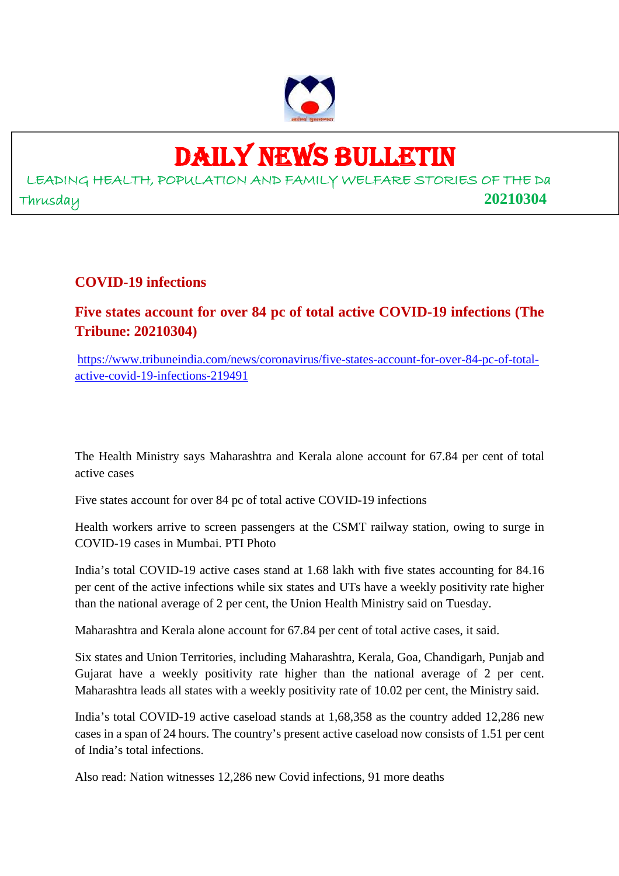

# DAILY NEWS BULLETIN

LEADING HEALTH, POPULATION AND FAMILY WELFARE STORIES OF THE Da Thrusday **20210304**

#### **COVID-19 infections**

**Five states account for over 84 pc of total active COVID-19 infections (The Tribune: 20210304)**

https://www.tribuneindia.com/news/coronavirus/five-states-account-for-over-84-pc-of-totalactive-covid-19-infections-219491

The Health Ministry says Maharashtra and Kerala alone account for 67.84 per cent of total active cases

Five states account for over 84 pc of total active COVID-19 infections

Health workers arrive to screen passengers at the CSMT railway station, owing to surge in COVID-19 cases in Mumbai. PTI Photo

India's total COVID-19 active cases stand at 1.68 lakh with five states accounting for 84.16 per cent of the active infections while six states and UTs have a weekly positivity rate higher than the national average of 2 per cent, the Union Health Ministry said on Tuesday.

Maharashtra and Kerala alone account for 67.84 per cent of total active cases, it said.

Six states and Union Territories, including Maharashtra, Kerala, Goa, Chandigarh, Punjab and Gujarat have a weekly positivity rate higher than the national average of 2 per cent. Maharashtra leads all states with a weekly positivity rate of 10.02 per cent, the Ministry said.

India's total COVID-19 active caseload stands at 1,68,358 as the country added 12,286 new cases in a span of 24 hours. The country's present active caseload now consists of 1.51 per cent of India's total infections.

Also read: Nation witnesses 12,286 new Covid infections, 91 more deaths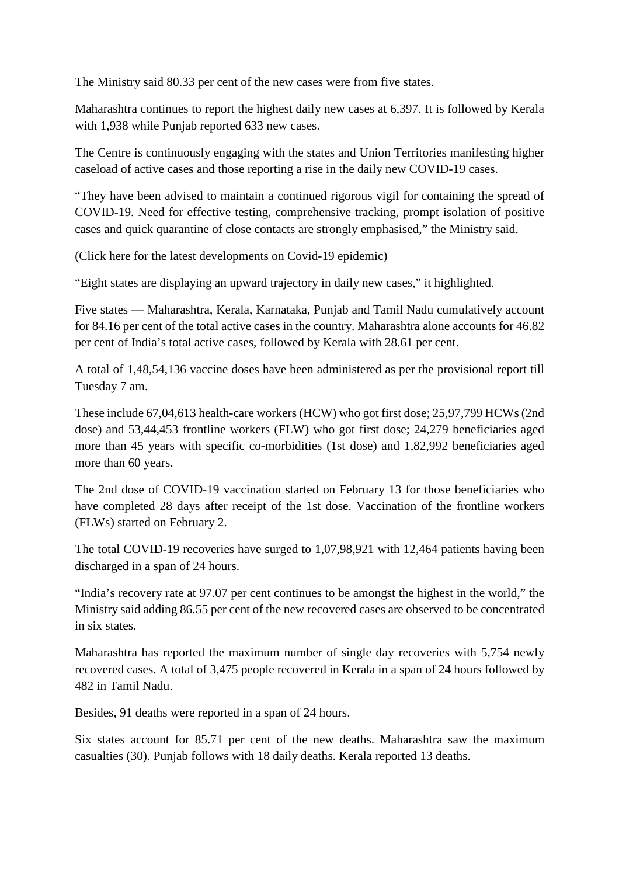The Ministry said 80.33 per cent of the new cases were from five states.

Maharashtra continues to report the highest daily new cases at 6,397. It is followed by Kerala with 1,938 while Punjab reported 633 new cases.

The Centre is continuously engaging with the states and Union Territories manifesting higher caseload of active cases and those reporting a rise in the daily new COVID-19 cases.

"They have been advised to maintain a continued rigorous vigil for containing the spread of COVID-19. Need for effective testing, comprehensive tracking, prompt isolation of positive cases and quick quarantine of close contacts are strongly emphasised," the Ministry said.

(Click here for the latest developments on Covid-19 epidemic)

"Eight states are displaying an upward trajectory in daily new cases," it highlighted.

Five states — Maharashtra, Kerala, Karnataka, Punjab and Tamil Nadu cumulatively account for 84.16 per cent of the total active cases in the country. Maharashtra alone accounts for 46.82 per cent of India's total active cases, followed by Kerala with 28.61 per cent.

A total of 1,48,54,136 vaccine doses have been administered as per the provisional report till Tuesday 7 am.

These include 67,04,613 health-care workers (HCW) who got first dose; 25,97,799 HCWs (2nd dose) and 53,44,453 frontline workers (FLW) who got first dose; 24,279 beneficiaries aged more than 45 years with specific co-morbidities (1st dose) and 1,82,992 beneficiaries aged more than 60 years.

The 2nd dose of COVID-19 vaccination started on February 13 for those beneficiaries who have completed 28 days after receipt of the 1st dose. Vaccination of the frontline workers (FLWs) started on February 2.

The total COVID-19 recoveries have surged to 1,07,98,921 with 12,464 patients having been discharged in a span of 24 hours.

"India's recovery rate at 97.07 per cent continues to be amongst the highest in the world," the Ministry said adding 86.55 per cent of the new recovered cases are observed to be concentrated in six states.

Maharashtra has reported the maximum number of single day recoveries with 5,754 newly recovered cases. A total of 3,475 people recovered in Kerala in a span of 24 hours followed by 482 in Tamil Nadu.

Besides, 91 deaths were reported in a span of 24 hours.

Six states account for 85.71 per cent of the new deaths. Maharashtra saw the maximum casualties (30). Punjab follows with 18 daily deaths. Kerala reported 13 deaths.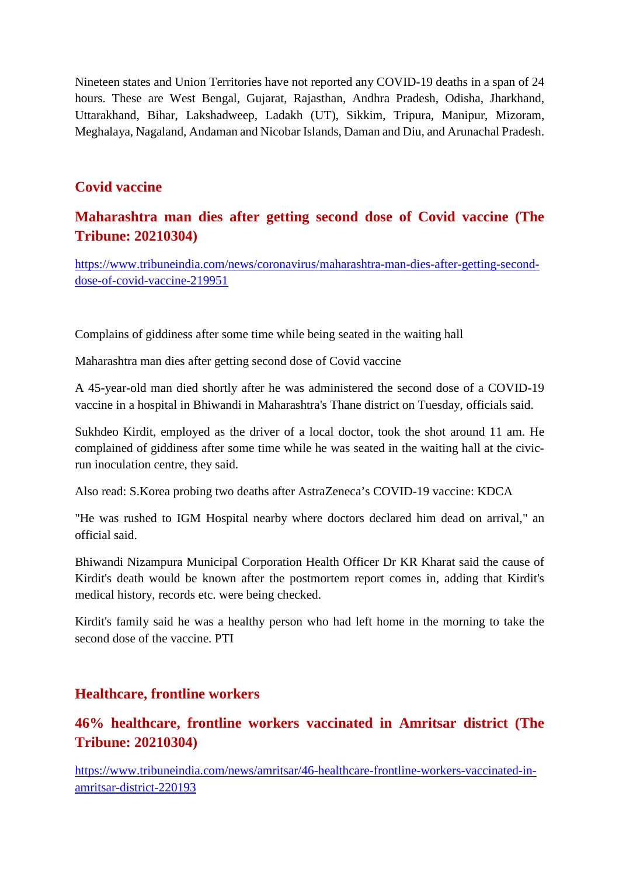Nineteen states and Union Territories have not reported any COVID-19 deaths in a span of 24 hours. These are West Bengal, Gujarat, Rajasthan, Andhra Pradesh, Odisha, Jharkhand, Uttarakhand, Bihar, Lakshadweep, Ladakh (UT), Sikkim, Tripura, Manipur, Mizoram, Meghalaya, Nagaland, Andaman and Nicobar Islands, Daman and Diu, and Arunachal Pradesh.

#### **Covid vaccine**

#### **Maharashtra man dies after getting second dose of Covid vaccine (The Tribune: 20210304)**

https://www.tribuneindia.com/news/coronavirus/maharashtra-man-dies-after-getting-seconddose-of-covid-vaccine-219951

Complains of giddiness after some time while being seated in the waiting hall

Maharashtra man dies after getting second dose of Covid vaccine

A 45-year-old man died shortly after he was administered the second dose of a COVID-19 vaccine in a hospital in Bhiwandi in Maharashtra's Thane district on Tuesday, officials said.

Sukhdeo Kirdit, employed as the driver of a local doctor, took the shot around 11 am. He complained of giddiness after some time while he was seated in the waiting hall at the civicrun inoculation centre, they said.

Also read: S.Korea probing two deaths after AstraZeneca's COVID-19 vaccine: KDCA

"He was rushed to IGM Hospital nearby where doctors declared him dead on arrival," an official said.

Bhiwandi Nizampura Municipal Corporation Health Officer Dr KR Kharat said the cause of Kirdit's death would be known after the postmortem report comes in, adding that Kirdit's medical history, records etc. were being checked.

Kirdit's family said he was a healthy person who had left home in the morning to take the second dose of the vaccine. PTI

#### **Healthcare, frontline workers**

# **46% healthcare, frontline workers vaccinated in Amritsar district (The Tribune: 20210304)**

https://www.tribuneindia.com/news/amritsar/46-healthcare-frontline-workers-vaccinated-inamritsar-district-220193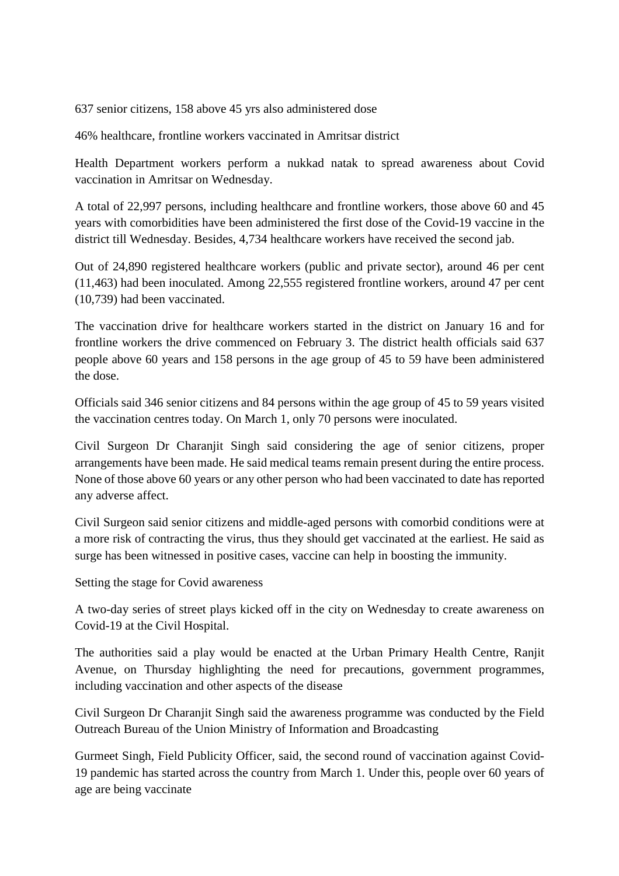637 senior citizens, 158 above 45 yrs also administered dose

46% healthcare, frontline workers vaccinated in Amritsar district

Health Department workers perform a nukkad natak to spread awareness about Covid vaccination in Amritsar on Wednesday.

A total of 22,997 persons, including healthcare and frontline workers, those above 60 and 45 years with comorbidities have been administered the first dose of the Covid-19 vaccine in the district till Wednesday. Besides, 4,734 healthcare workers have received the second jab.

Out of 24,890 registered healthcare workers (public and private sector), around 46 per cent (11,463) had been inoculated. Among 22,555 registered frontline workers, around 47 per cent (10,739) had been vaccinated.

The vaccination drive for healthcare workers started in the district on January 16 and for frontline workers the drive commenced on February 3. The district health officials said 637 people above 60 years and 158 persons in the age group of 45 to 59 have been administered the dose.

Officials said 346 senior citizens and 84 persons within the age group of 45 to 59 years visited the vaccination centres today. On March 1, only 70 persons were inoculated.

Civil Surgeon Dr Charanjit Singh said considering the age of senior citizens, proper arrangements have been made. He said medical teams remain present during the entire process. None of those above 60 years or any other person who had been vaccinated to date has reported any adverse affect.

Civil Surgeon said senior citizens and middle-aged persons with comorbid conditions were at a more risk of contracting the virus, thus they should get vaccinated at the earliest. He said as surge has been witnessed in positive cases, vaccine can help in boosting the immunity.

Setting the stage for Covid awareness

A two-day series of street plays kicked off in the city on Wednesday to create awareness on Covid-19 at the Civil Hospital.

The authorities said a play would be enacted at the Urban Primary Health Centre, Ranjit Avenue, on Thursday highlighting the need for precautions, government programmes, including vaccination and other aspects of the disease

Civil Surgeon Dr Charanjit Singh said the awareness programme was conducted by the Field Outreach Bureau of the Union Ministry of Information and Broadcasting

Gurmeet Singh, Field Publicity Officer, said, the second round of vaccination against Covid-19 pandemic has started across the country from March 1. Under this, people over 60 years of age are being vaccinate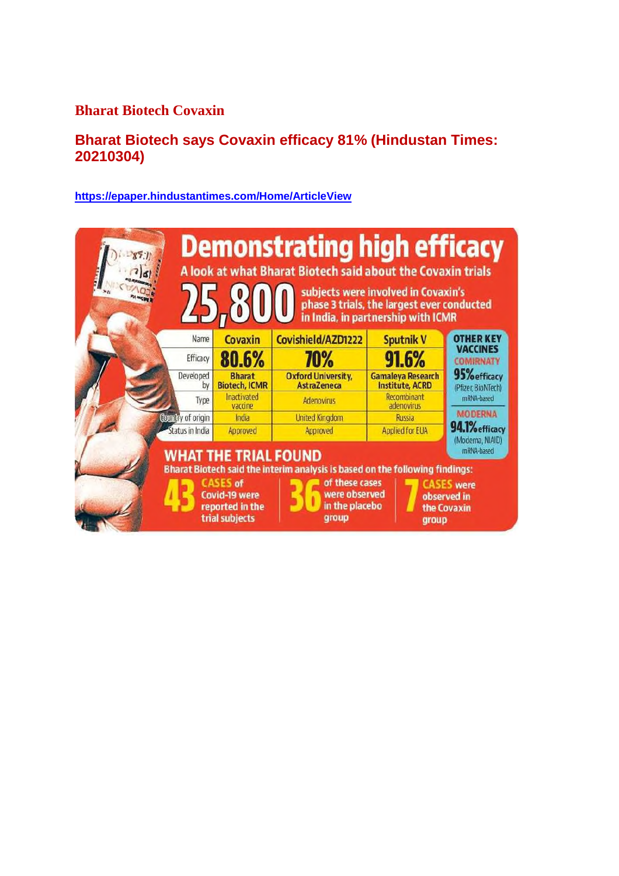#### **Bharat Biotech Covaxin**

## **Bharat Biotech says Covaxin efficacy 81% (Hindustan Times: 20210304)**

#### **https://epaper.hindustantimes.com/Home/ArticleView**

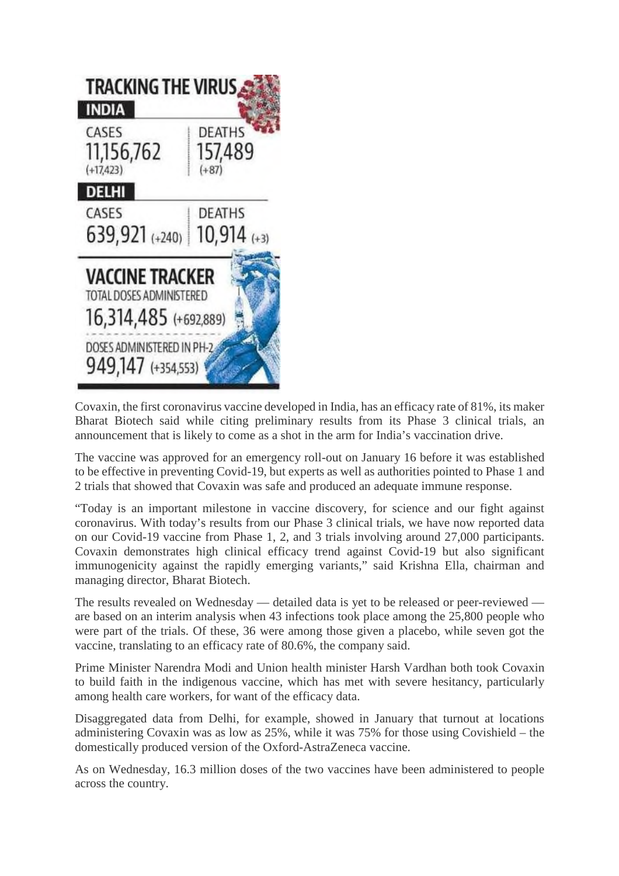

Covaxin, the first coronavirus vaccine developed in India, has an efficacy rate of 81%, its maker Bharat Biotech said while citing preliminary results from its Phase 3 clinical trials, an announcement that is likely to come as a shot in the arm for India's vaccination drive.

The vaccine was approved for an emergency roll-out on January 16 before it was established to be effective in preventing Covid-19, but experts as well as authorities pointed to Phase 1 and 2 trials that showed that Covaxin was safe and produced an adequate immune response.

"Today is an important milestone in vaccine discovery, for science and our fight against coronavirus. With today's results from our Phase 3 clinical trials, we have now reported data on our Covid-19 vaccine from Phase 1, 2, and 3 trials involving around 27,000 participants. Covaxin demonstrates high clinical efficacy trend against Covid-19 but also significant immunogenicity against the rapidly emerging variants," said Krishna Ella, chairman and managing director, Bharat Biotech.

The results revealed on Wednesday — detailed data is yet to be released or peer-reviewed are based on an interim analysis when 43 infections took place among the 25,800 people who were part of the trials. Of these, 36 were among those given a placebo, while seven got the vaccine, translating to an efficacy rate of 80.6%, the company said.

Prime Minister Narendra Modi and Union health minister Harsh Vardhan both took Covaxin to build faith in the indigenous vaccine, which has met with severe hesitancy, particularly among health care workers, for want of the efficacy data.

Disaggregated data from Delhi, for example, showed in January that turnout at locations administering Covaxin was as low as 25%, while it was 75% for those using Covishield – the domestically produced version of the Oxford-AstraZeneca vaccine.

As on Wednesday, 16.3 million doses of the two vaccines have been administered to people across the country.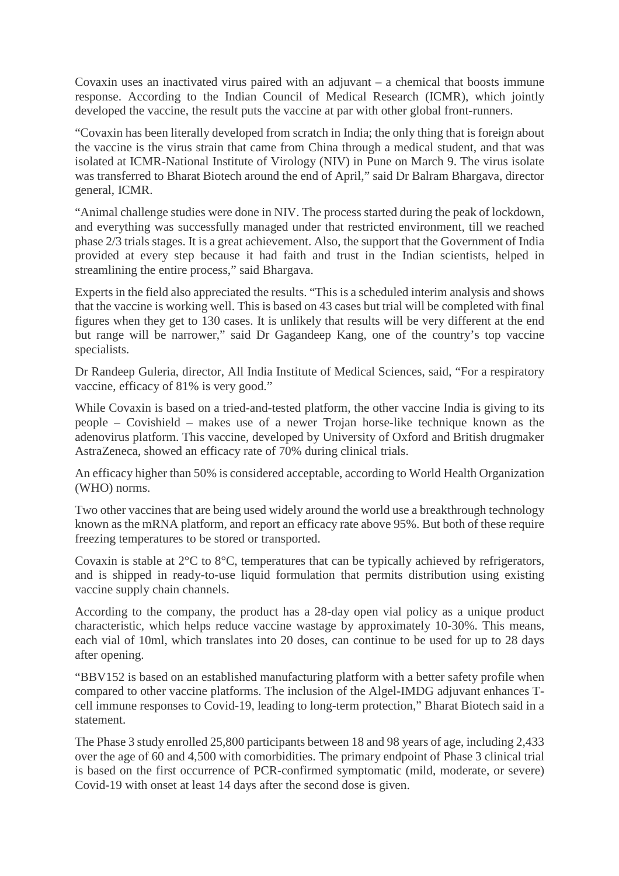Covaxin uses an inactivated virus paired with an adjuvant – a chemical that boosts immune response. According to the Indian Council of Medical Research (ICMR), which jointly developed the vaccine, the result puts the vaccine at par with other global front-runners.

"Covaxin has been literally developed from scratch in India; the only thing that is foreign about the vaccine is the virus strain that came from China through a medical student, and that was isolated at ICMR-National Institute of Virology (NIV) in Pune on March 9. The virus isolate was transferred to Bharat Biotech around the end of April," said Dr Balram Bhargava, director general, ICMR.

"Animal challenge studies were done in NIV. The process started during the peak of lockdown, and everything was successfully managed under that restricted environment, till we reached phase 2/3 trials stages. It is a great achievement. Also, the support that the Government of India provided at every step because it had faith and trust in the Indian scientists, helped in streamlining the entire process," said Bhargava.

Experts in the field also appreciated the results. "This is a scheduled interim analysis and shows that the vaccine is working well. This is based on 43 cases but trial will be completed with final figures when they get to 130 cases. It is unlikely that results will be very different at the end but range will be narrower," said Dr Gagandeep Kang, one of the country's top vaccine specialists.

Dr Randeep Guleria, director, All India Institute of Medical Sciences, said, "For a respiratory vaccine, efficacy of 81% is very good."

While Covaxin is based on a tried-and-tested platform, the other vaccine India is giving to its people – Covishield – makes use of a newer Trojan horse-like technique known as the adenovirus platform. This vaccine, developed by University of Oxford and British drugmaker AstraZeneca, showed an efficacy rate of 70% during clinical trials.

An efficacy higher than 50% is considered acceptable, according to World Health Organization (WHO) norms.

Two other vaccines that are being used widely around the world use a breakthrough technology known as the mRNA platform, and report an efficacy rate above 95%. But both of these require freezing temperatures to be stored or transported.

Covaxin is stable at 2°C to 8°C, temperatures that can be typically achieved by refrigerators, and is shipped in ready-to-use liquid formulation that permits distribution using existing vaccine supply chain channels.

According to the company, the product has a 28-day open vial policy as a unique product characteristic, which helps reduce vaccine wastage by approximately 10-30%. This means, each vial of 10ml, which translates into 20 doses, can continue to be used for up to 28 days after opening.

"BBV152 is based on an established manufacturing platform with a better safety profile when compared to other vaccine platforms. The inclusion of the Algel-IMDG adjuvant enhances Tcell immune responses to Covid-19, leading to long-term protection," Bharat Biotech said in a statement.

The Phase 3 study enrolled 25,800 participants between 18 and 98 years of age, including 2,433 over the age of 60 and 4,500 with comorbidities. The primary endpoint of Phase 3 clinical trial is based on the first occurrence of PCR-confirmed symptomatic (mild, moderate, or severe) Covid-19 with onset at least 14 days after the second dose is given.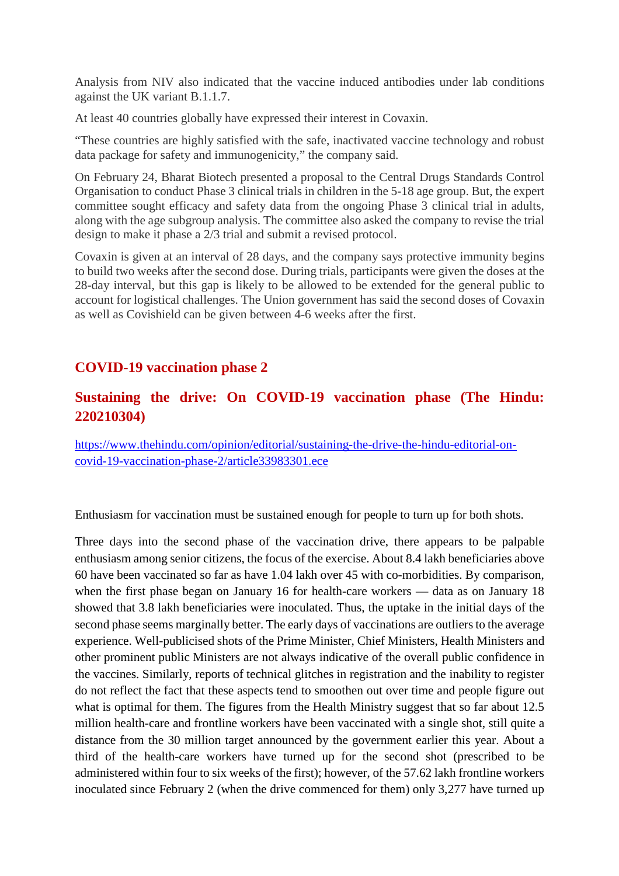Analysis from NIV also indicated that the vaccine induced antibodies under lab conditions against the UK variant B.1.1.7.

At least 40 countries globally have expressed their interest in Covaxin.

"These countries are highly satisfied with the safe, inactivated vaccine technology and robust data package for safety and immunogenicity," the company said.

On February 24, Bharat Biotech presented a proposal to the Central Drugs Standards Control Organisation to conduct Phase 3 clinical trials in children in the 5-18 age group. But, the expert committee sought efficacy and safety data from the ongoing Phase 3 clinical trial in adults, along with the age subgroup analysis. The committee also asked the company to revise the trial design to make it phase a 2/3 trial and submit a revised protocol.

Covaxin is given at an interval of 28 days, and the company says protective immunity begins to build two weeks after the second dose. During trials, participants were given the doses at the 28-day interval, but this gap is likely to be allowed to be extended for the general public to account for logistical challenges. The Union government has said the second doses of Covaxin as well as Covishield can be given between 4-6 weeks after the first.

#### **COVID-19 vaccination phase 2**

#### **Sustaining the drive: On COVID-19 vaccination phase (The Hindu: 220210304)**

https://www.thehindu.com/opinion/editorial/sustaining-the-drive-the-hindu-editorial-oncovid-19-vaccination-phase-2/article33983301.ece

Enthusiasm for vaccination must be sustained enough for people to turn up for both shots.

Three days into the second phase of the vaccination drive, there appears to be palpable enthusiasm among senior citizens, the focus of the exercise. About 8.4 lakh beneficiaries above 60 have been vaccinated so far as have 1.04 lakh over 45 with co-morbidities. By comparison, when the first phase began on January 16 for health-care workers — data as on January 18 showed that 3.8 lakh beneficiaries were inoculated. Thus, the uptake in the initial days of the second phase seems marginally better. The early days of vaccinations are outliers to the average experience. Well-publicised shots of the Prime Minister, Chief Ministers, Health Ministers and other prominent public Ministers are not always indicative of the overall public confidence in the vaccines. Similarly, reports of technical glitches in registration and the inability to register do not reflect the fact that these aspects tend to smoothen out over time and people figure out what is optimal for them. The figures from the Health Ministry suggest that so far about 12.5 million health-care and frontline workers have been vaccinated with a single shot, still quite a distance from the 30 million target announced by the government earlier this year. About a third of the health-care workers have turned up for the second shot (prescribed to be administered within four to six weeks of the first); however, of the 57.62 lakh frontline workers inoculated since February 2 (when the drive commenced for them) only 3,277 have turned up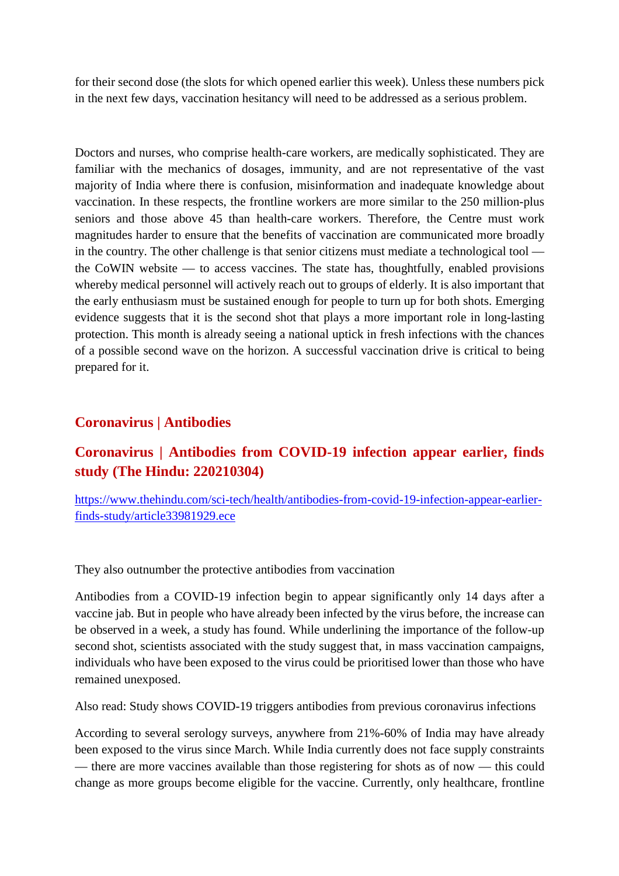for their second dose (the slots for which opened earlier this week). Unless these numbers pick in the next few days, vaccination hesitancy will need to be addressed as a serious problem.

Doctors and nurses, who comprise health-care workers, are medically sophisticated. They are familiar with the mechanics of dosages, immunity, and are not representative of the vast majority of India where there is confusion, misinformation and inadequate knowledge about vaccination. In these respects, the frontline workers are more similar to the 250 million-plus seniors and those above 45 than health-care workers. Therefore, the Centre must work magnitudes harder to ensure that the benefits of vaccination are communicated more broadly in the country. The other challenge is that senior citizens must mediate a technological tool the CoWIN website — to access vaccines. The state has, thoughtfully, enabled provisions whereby medical personnel will actively reach out to groups of elderly. It is also important that the early enthusiasm must be sustained enough for people to turn up for both shots. Emerging evidence suggests that it is the second shot that plays a more important role in long-lasting protection. This month is already seeing a national uptick in fresh infections with the chances of a possible second wave on the horizon. A successful vaccination drive is critical to being prepared for it.

#### **Coronavirus | Antibodies**

### **Coronavirus | Antibodies from COVID-19 infection appear earlier, finds study (The Hindu: 220210304)**

https://www.thehindu.com/sci-tech/health/antibodies-from-covid-19-infection-appear-earlierfinds-study/article33981929.ece

They also outnumber the protective antibodies from vaccination

Antibodies from a COVID-19 infection begin to appear significantly only 14 days after a vaccine jab. But in people who have already been infected by the virus before, the increase can be observed in a week, a study has found. While underlining the importance of the follow-up second shot, scientists associated with the study suggest that, in mass vaccination campaigns, individuals who have been exposed to the virus could be prioritised lower than those who have remained unexposed.

Also read: Study shows COVID-19 triggers antibodies from previous coronavirus infections

According to several serology surveys, anywhere from 21%-60% of India may have already been exposed to the virus since March. While India currently does not face supply constraints — there are more vaccines available than those registering for shots as of now — this could change as more groups become eligible for the vaccine. Currently, only healthcare, frontline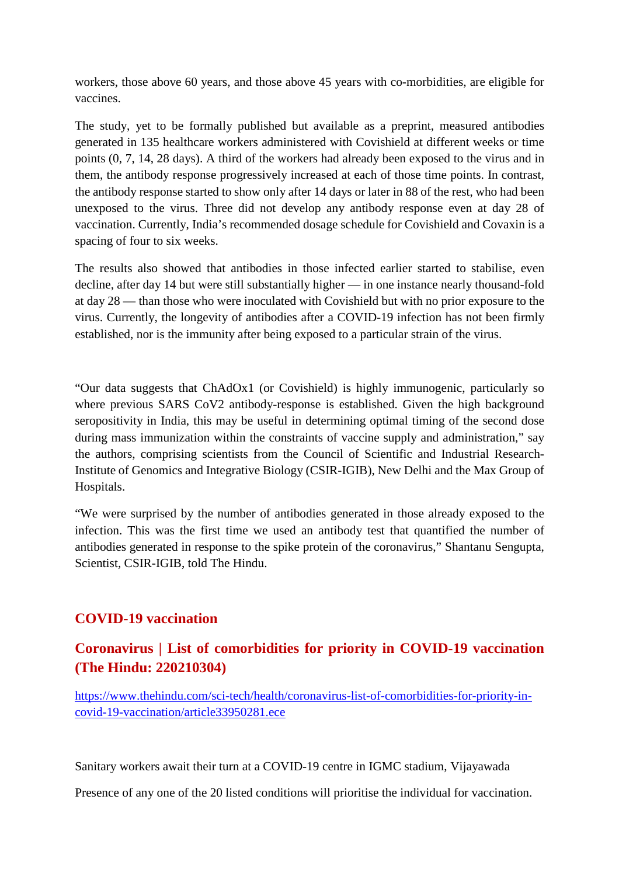workers, those above 60 years, and those above 45 years with co-morbidities, are eligible for vaccines.

The study, yet to be formally published but available as a preprint, measured antibodies generated in 135 healthcare workers administered with Covishield at different weeks or time points (0, 7, 14, 28 days). A third of the workers had already been exposed to the virus and in them, the antibody response progressively increased at each of those time points. In contrast, the antibody response started to show only after 14 days or later in 88 of the rest, who had been unexposed to the virus. Three did not develop any antibody response even at day 28 of vaccination. Currently, India's recommended dosage schedule for Covishield and Covaxin is a spacing of four to six weeks.

The results also showed that antibodies in those infected earlier started to stabilise, even decline, after day 14 but were still substantially higher — in one instance nearly thousand-fold at day 28 — than those who were inoculated with Covishield but with no prior exposure to the virus. Currently, the longevity of antibodies after a COVID-19 infection has not been firmly established, nor is the immunity after being exposed to a particular strain of the virus.

"Our data suggests that ChAdOx1 (or Covishield) is highly immunogenic, particularly so where previous SARS CoV2 antibody-response is established. Given the high background seropositivity in India, this may be useful in determining optimal timing of the second dose during mass immunization within the constraints of vaccine supply and administration," say the authors, comprising scientists from the Council of Scientific and Industrial Research-Institute of Genomics and Integrative Biology (CSIR-IGIB), New Delhi and the Max Group of Hospitals.

"We were surprised by the number of antibodies generated in those already exposed to the infection. This was the first time we used an antibody test that quantified the number of antibodies generated in response to the spike protein of the coronavirus," Shantanu Sengupta, Scientist, CSIR-IGIB, told The Hindu.

#### **COVID-19 vaccination**

# **Coronavirus | List of comorbidities for priority in COVID-19 vaccination (The Hindu: 220210304)**

https://www.thehindu.com/sci-tech/health/coronavirus-list-of-comorbidities-for-priority-incovid-19-vaccination/article33950281.ece

Sanitary workers await their turn at a COVID-19 centre in IGMC stadium, Vijayawada

Presence of any one of the 20 listed conditions will prioritise the individual for vaccination.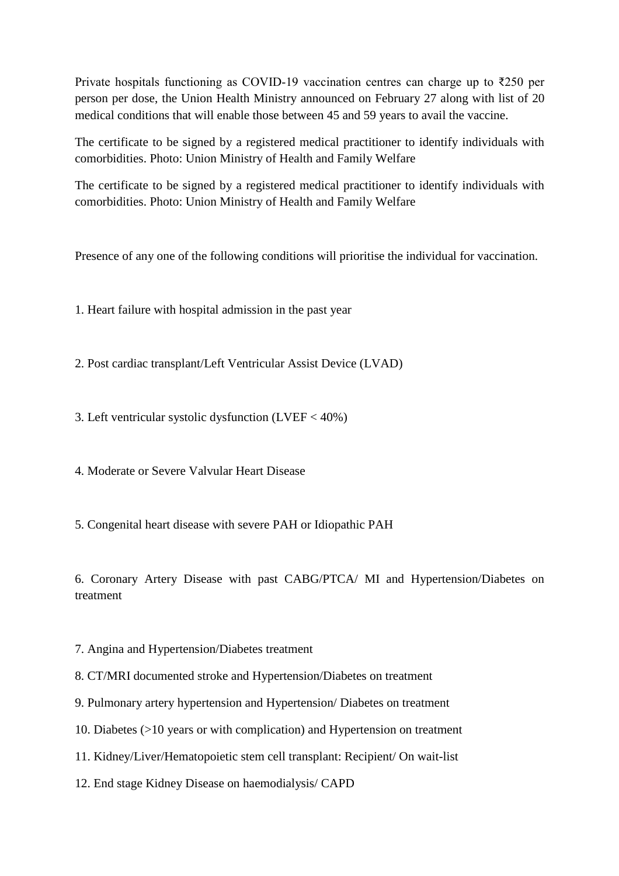Private hospitals functioning as COVID-19 vaccination centres can charge up to ₹250 per person per dose, the Union Health Ministry announced on February 27 along with list of 20 medical conditions that will enable those between 45 and 59 years to avail the vaccine.

The certificate to be signed by a registered medical practitioner to identify individuals with comorbidities. Photo: Union Ministry of Health and Family Welfare

The certificate to be signed by a registered medical practitioner to identify individuals with comorbidities. Photo: Union Ministry of Health and Family Welfare

Presence of any one of the following conditions will prioritise the individual for vaccination.

1. Heart failure with hospital admission in the past year

2. Post cardiac transplant/Left Ventricular Assist Device (LVAD)

3. Left ventricular systolic dysfunction (LVEF < 40%)

4. Moderate or Severe Valvular Heart Disease

5. Congenital heart disease with severe PAH or Idiopathic PAH

6. Coronary Artery Disease with past CABG/PTCA/ MI and Hypertension/Diabetes on treatment

7. Angina and Hypertension/Diabetes treatment

8. CT/MRI documented stroke and Hypertension/Diabetes on treatment

9. Pulmonary artery hypertension and Hypertension/ Diabetes on treatment

10. Diabetes (>10 years or with complication) and Hypertension on treatment

11. Kidney/Liver/Hematopoietic stem cell transplant: Recipient/ On wait-list

12. End stage Kidney Disease on haemodialysis/ CAPD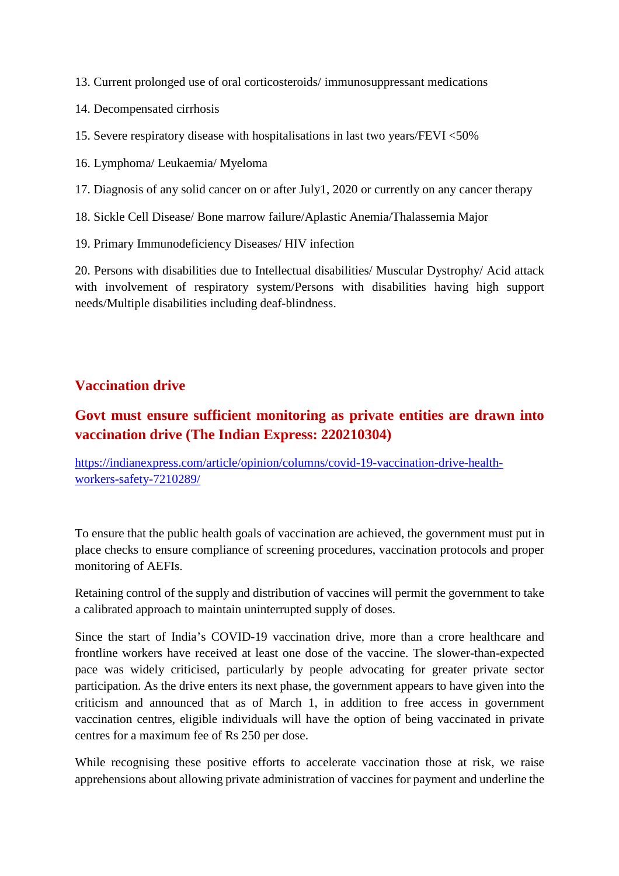- 13. Current prolonged use of oral corticosteroids/ immunosuppressant medications
- 14. Decompensated cirrhosis
- 15. Severe respiratory disease with hospitalisations in last two years/FEVI <50%
- 16. Lymphoma/ Leukaemia/ Myeloma
- 17. Diagnosis of any solid cancer on or after July1, 2020 or currently on any cancer therapy
- 18. Sickle Cell Disease/ Bone marrow failure/Aplastic Anemia/Thalassemia Major
- 19. Primary Immunodeficiency Diseases/ HIV infection

20. Persons with disabilities due to Intellectual disabilities/ Muscular Dystrophy/ Acid attack with involvement of respiratory system/Persons with disabilities having high support needs/Multiple disabilities including deaf-blindness.

#### **Vaccination drive**

## **Govt must ensure sufficient monitoring as private entities are drawn into vaccination drive (The Indian Express: 220210304)**

https://indianexpress.com/article/opinion/columns/covid-19-vaccination-drive-healthworkers-safety-7210289/

To ensure that the public health goals of vaccination are achieved, the government must put in place checks to ensure compliance of screening procedures, vaccination protocols and proper monitoring of AEFIs.

Retaining control of the supply and distribution of vaccines will permit the government to take a calibrated approach to maintain uninterrupted supply of doses.

Since the start of India's COVID-19 vaccination drive, more than a crore healthcare and frontline workers have received at least one dose of the vaccine. The slower-than-expected pace was widely criticised, particularly by people advocating for greater private sector participation. As the drive enters its next phase, the government appears to have given into the criticism and announced that as of March 1, in addition to free access in government vaccination centres, eligible individuals will have the option of being vaccinated in private centres for a maximum fee of Rs 250 per dose.

While recognising these positive efforts to accelerate vaccination those at risk, we raise apprehensions about allowing private administration of vaccines for payment and underline the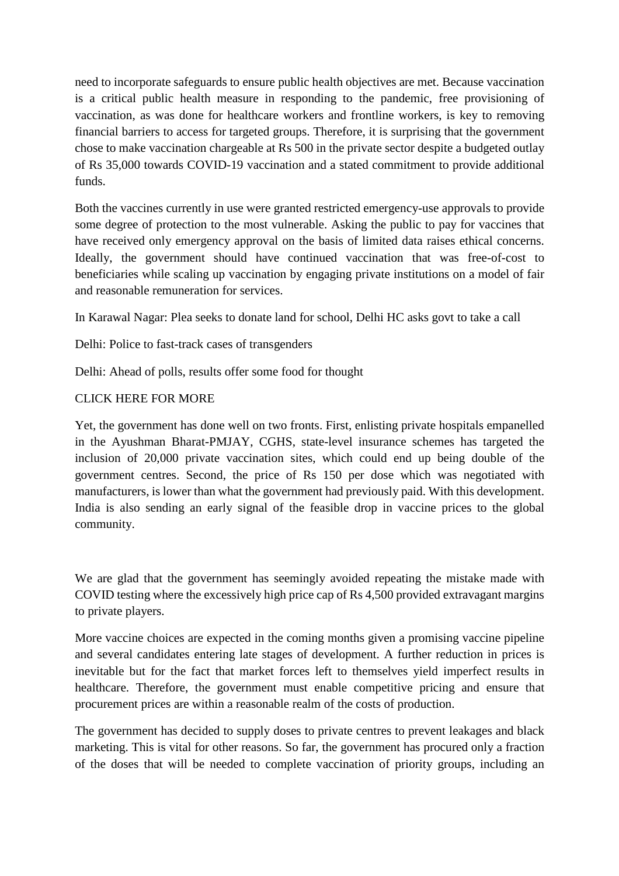need to incorporate safeguards to ensure public health objectives are met. Because vaccination is a critical public health measure in responding to the pandemic, free provisioning of vaccination, as was done for healthcare workers and frontline workers, is key to removing financial barriers to access for targeted groups. Therefore, it is surprising that the government chose to make vaccination chargeable at Rs 500 in the private sector despite a budgeted outlay of Rs 35,000 towards COVID-19 vaccination and a stated commitment to provide additional funds.

Both the vaccines currently in use were granted restricted emergency-use approvals to provide some degree of protection to the most vulnerable. Asking the public to pay for vaccines that have received only emergency approval on the basis of limited data raises ethical concerns. Ideally, the government should have continued vaccination that was free-of-cost to beneficiaries while scaling up vaccination by engaging private institutions on a model of fair and reasonable remuneration for services.

In Karawal Nagar: Plea seeks to donate land for school, Delhi HC asks govt to take a call

Delhi: Police to fast-track cases of transgenders

Delhi: Ahead of polls, results offer some food for thought

#### CLICK HERE FOR MORE

Yet, the government has done well on two fronts. First, enlisting private hospitals empanelled in the Ayushman Bharat-PMJAY, CGHS, state-level insurance schemes has targeted the inclusion of 20,000 private vaccination sites, which could end up being double of the government centres. Second, the price of Rs 150 per dose which was negotiated with manufacturers, is lower than what the government had previously paid. With this development. India is also sending an early signal of the feasible drop in vaccine prices to the global community.

We are glad that the government has seemingly avoided repeating the mistake made with COVID testing where the excessively high price cap of Rs 4,500 provided extravagant margins to private players.

More vaccine choices are expected in the coming months given a promising vaccine pipeline and several candidates entering late stages of development. A further reduction in prices is inevitable but for the fact that market forces left to themselves yield imperfect results in healthcare. Therefore, the government must enable competitive pricing and ensure that procurement prices are within a reasonable realm of the costs of production.

The government has decided to supply doses to private centres to prevent leakages and black marketing. This is vital for other reasons. So far, the government has procured only a fraction of the doses that will be needed to complete vaccination of priority groups, including an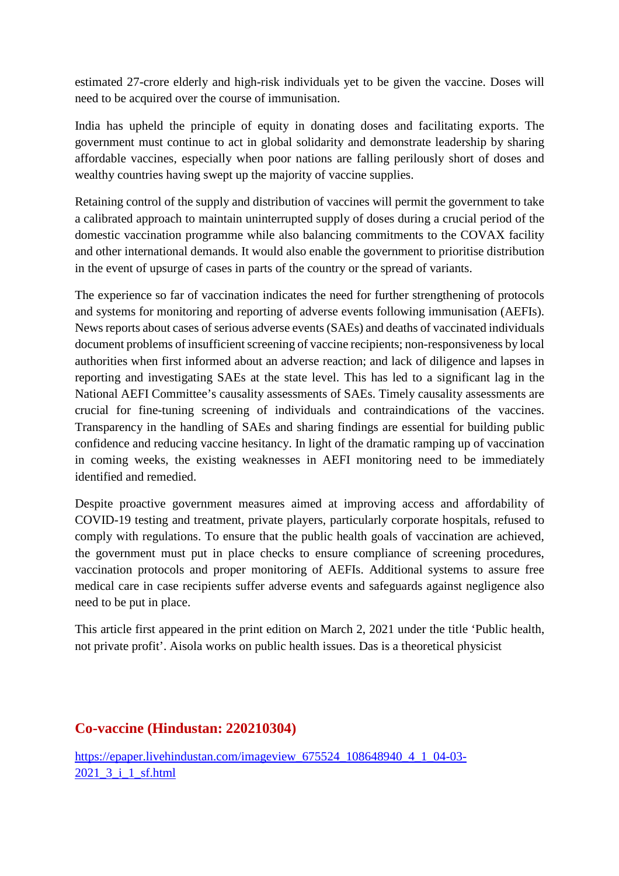estimated 27-crore elderly and high-risk individuals yet to be given the vaccine. Doses will need to be acquired over the course of immunisation.

India has upheld the principle of equity in donating doses and facilitating exports. The government must continue to act in global solidarity and demonstrate leadership by sharing affordable vaccines, especially when poor nations are falling perilously short of doses and wealthy countries having swept up the majority of vaccine supplies.

Retaining control of the supply and distribution of vaccines will permit the government to take a calibrated approach to maintain uninterrupted supply of doses during a crucial period of the domestic vaccination programme while also balancing commitments to the COVAX facility and other international demands. It would also enable the government to prioritise distribution in the event of upsurge of cases in parts of the country or the spread of variants.

The experience so far of vaccination indicates the need for further strengthening of protocols and systems for monitoring and reporting of adverse events following immunisation (AEFIs). News reports about cases of serious adverse events (SAEs) and deaths of vaccinated individuals document problems of insufficient screening of vaccine recipients; non-responsiveness by local authorities when first informed about an adverse reaction; and lack of diligence and lapses in reporting and investigating SAEs at the state level. This has led to a significant lag in the National AEFI Committee's causality assessments of SAEs. Timely causality assessments are crucial for fine-tuning screening of individuals and contraindications of the vaccines. Transparency in the handling of SAEs and sharing findings are essential for building public confidence and reducing vaccine hesitancy. In light of the dramatic ramping up of vaccination in coming weeks, the existing weaknesses in AEFI monitoring need to be immediately identified and remedied.

Despite proactive government measures aimed at improving access and affordability of COVID-19 testing and treatment, private players, particularly corporate hospitals, refused to comply with regulations. To ensure that the public health goals of vaccination are achieved, the government must put in place checks to ensure compliance of screening procedures, vaccination protocols and proper monitoring of AEFIs. Additional systems to assure free medical care in case recipients suffer adverse events and safeguards against negligence also need to be put in place.

This article first appeared in the print edition on March 2, 2021 under the title 'Public health, not private profit'. Aisola works on public health issues. Das is a theoretical physicist

#### **Co-vaccine (Hindustan: 220210304)**

https://epaper.livehindustan.com/imageview\_675524\_108648940\_4\_1\_04-03-2021\_3\_i\_1\_sf.html